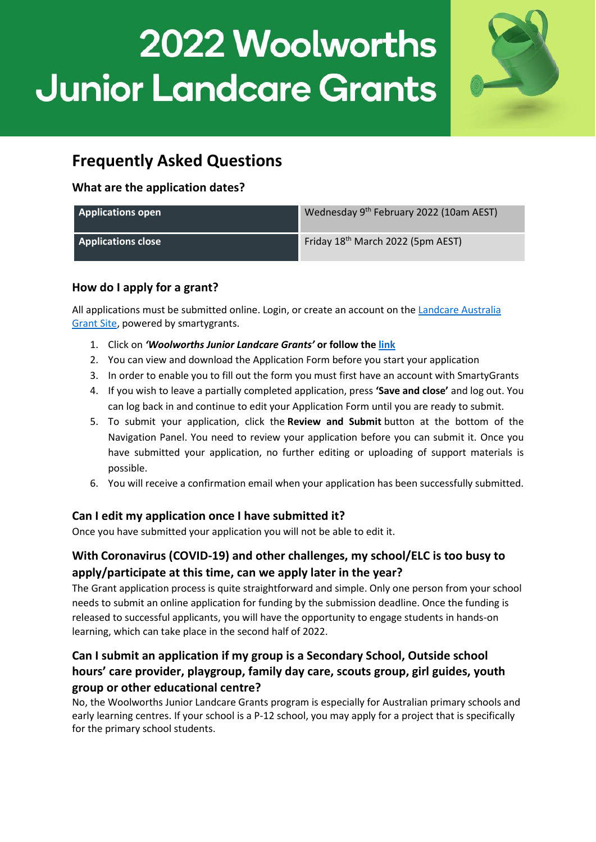

# **Frequently Asked Questions**

### **What are the application dates?**

| <b>Applications open</b>  | Wednesday 9th February 2022 (10am AEST)       |
|---------------------------|-----------------------------------------------|
| <b>Applications close</b> | Friday 18 <sup>th</sup> March 2022 (5pm AEST) |

# **How do I apply for a grant?**

All applications must be submitted online. Login, or create an account on th[e Landcare Australia](https://landcareaustralia.smartygrants.com.au/)  [Grant Site,](https://landcareaustralia.smartygrants.com.au/) powered by smartygrants.

- 1. Click on *'Woolworths Junior Landcare Grants'* **or follow the [link](https://landcareaustralia.smartygrants.com.au/WWJLC22)**
- 2. You can view and download the Application Form before you start your application
- 3. In order to enable you to fill out the form you must first have an account with SmartyGrants
- 4. If you wish to leave a partially completed application, press **'Save and close'** and log out. You can log back in and continue to edit your Application Form until you are ready to submit.
- 5. To submit your application, click the **Review and Submit** button at the bottom of the Navigation Panel. You need to review your application before you can submit it. Once you have submitted your application, no further editing or uploading of support materials is possible.
- 6. You will receive a confirmation email when your application has been successfully submitted.

# **Can I edit my application once I have submitted it?**

Once you have submitted your application you will not be able to edit it.

# **With Coronavirus (COVID-19) and other challenges, my school/ELC is too busy to apply/participate at this time, can we apply later in the year?**

The Grant application process is quite straightforward and simple. Only one person from your school needs to submit an online application for funding by the submission deadline. Once the funding is released to successful applicants, you will have the opportunity to engage students in hands-on learning, which can take place in the second half of 2022.

# **Can I submit an application if my group is a Secondary School, Outside school hours' care provider, playgroup, family day care, scouts group, girl guides, youth group or other educational centre?**

No, the Woolworths Junior Landcare Grants program is especially for Australian primary schools and early learning centres. If your school is a P-12 school, you may apply for a project that is specifically for the primary school students.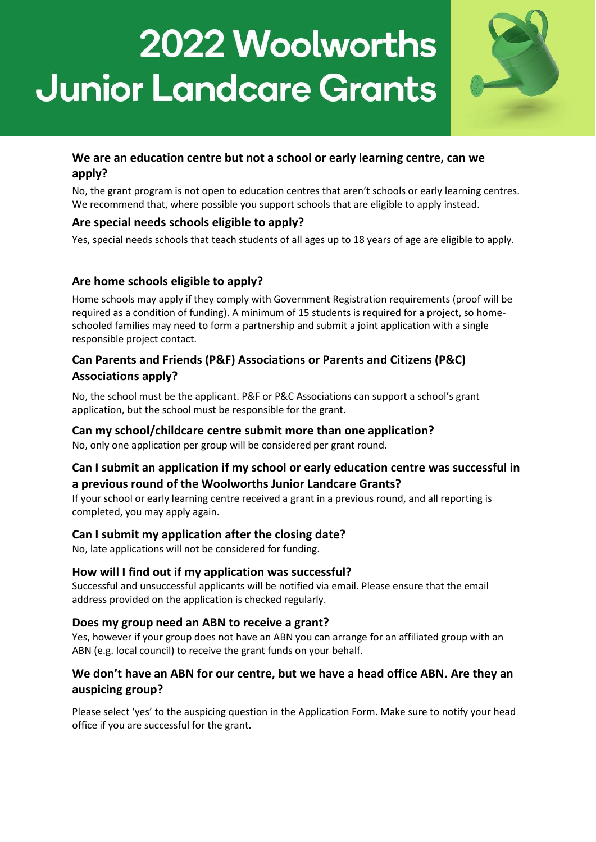

# **We are an education centre but not a school or early learning centre, can we apply?**

No, the grant program is not open to education centres that aren't schools or early learning centres. We recommend that, where possible you support schools that are eligible to apply instead.

# **Are special needs schools eligible to apply?**

Yes, special needs schools that teach students of all ages up to 18 years of age are eligible to apply.

#### **Are home schools eligible to apply?**

Home schools may apply if they comply with Government Registration requirements (proof will be required as a condition of funding). A minimum of 15 students is required for a project, so homeschooled families may need to form a partnership and submit a joint application with a single responsible project contact.

# **Can Parents and Friends (P&F) Associations or Parents and Citizens (P&C) Associations apply?**

No, the school must be the applicant. P&F or P&C Associations can support a school's grant application, but the school must be responsible for the grant.

#### **Can my school/childcare centre submit more than one application?**

No, only one application per group will be considered per grant round.

# **Can I submit an application if my school or early education centre was successful in a previous round of the Woolworths Junior Landcare Grants?**

If your school or early learning centre received a grant in a previous round, and all reporting is completed, you may apply again.

#### **Can I submit my application after the closing date?**

No, late applications will not be considered for funding.

#### **How will I find out if my application was successful?**

Successful and unsuccessful applicants will be notified via email. Please ensure that the email address provided on the application is checked regularly.

#### **Does my group need an ABN to receive a grant?**

Yes, however if your group does not have an ABN you can arrange for an affiliated group with an ABN (e.g. local council) to receive the grant funds on your behalf.

# **We don't have an ABN for our centre, but we have a head office ABN. Are they an auspicing group?**

Please select 'yes' to the auspicing question in the Application Form. Make sure to notify your head office if you are successful for the grant.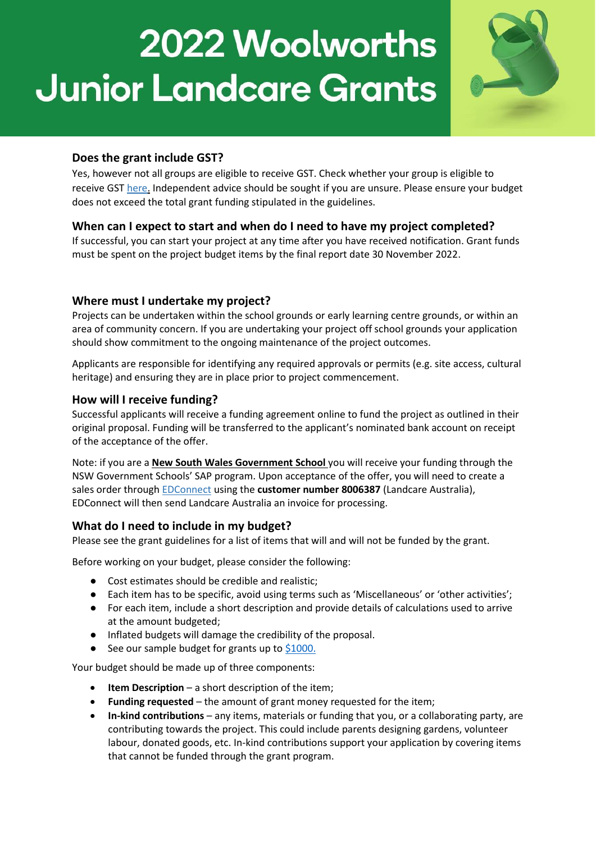

### **Does the grant include GST?**

Yes, however not all groups are eligible to receive GST. Check whether your group is eligible to receive GS[T here.](http://abr.business.gov.au/) Independent advice should be sought if you are unsure. Please ensure your budget does not exceed the total grant funding stipulated in the guidelines.

# **When can I expect to start and when do I need to have my project completed?**

If successful, you can start your project at any time after you have received notification. Grant funds must be spent on the project budget items by the final report date 30 November 2022.

#### **Where must I undertake my project?**

Projects can be undertaken within the school grounds or early learning centre grounds, or within an area of community concern. If you are undertaking your project off school grounds your application should show commitment to the ongoing maintenance of the project outcomes.

Applicants are responsible for identifying any required approvals or permits (e.g. site access, cultural heritage) and ensuring they are in place prior to project commencement.

#### **How will I receive funding?**

Successful applicants will receive a funding agreement online to fund the project as outlined in their original proposal. Funding will be transferred to the applicant's nominated bank account on receipt of the acceptance of the offer.

Note: if you are a **New South Wales Government School** you will receive your funding through the NSW Government Schools' SAP program. Upon acceptance of the offer, you will need to create a sales order through [EDConnect](http://www.edconnectaustralia.org.au/) using the **customer number 8006387** (Landcare Australia), EDConnect will then send Landcare Australia an invoice for processing.

#### **What do I need to include in my budget?**

Please see the grant guidelines for a list of items that will and will not be funded by the grant.

Before working on your budget, please consider the following:

- Cost estimates should be credible and realistic:
- Each item has to be specific, avoid using terms such as 'Miscellaneous' or 'other activities';
- For each item, include a short description and provide details of calculations used to arrive at the amount budgeted;
- Inflated budgets will damage the credibility of the proposal.
- See our sample budget for grants up to [\\$1000.](https://juniorlandcare.org.au/wp-content/uploads/2022/01/BSA002_-_Budget_Sample_1000.pdf)

Your budget should be made up of three components:

- **Item Description** a short description of the item;
- **Funding requested** the amount of grant money requested for the item;
- **In-kind contributions** any items, materials or funding that you, or a collaborating party, are contributing towards the project. This could include parents designing gardens, volunteer labour, donated goods, etc. In-kind contributions support your application by covering items that cannot be funded through the grant program.